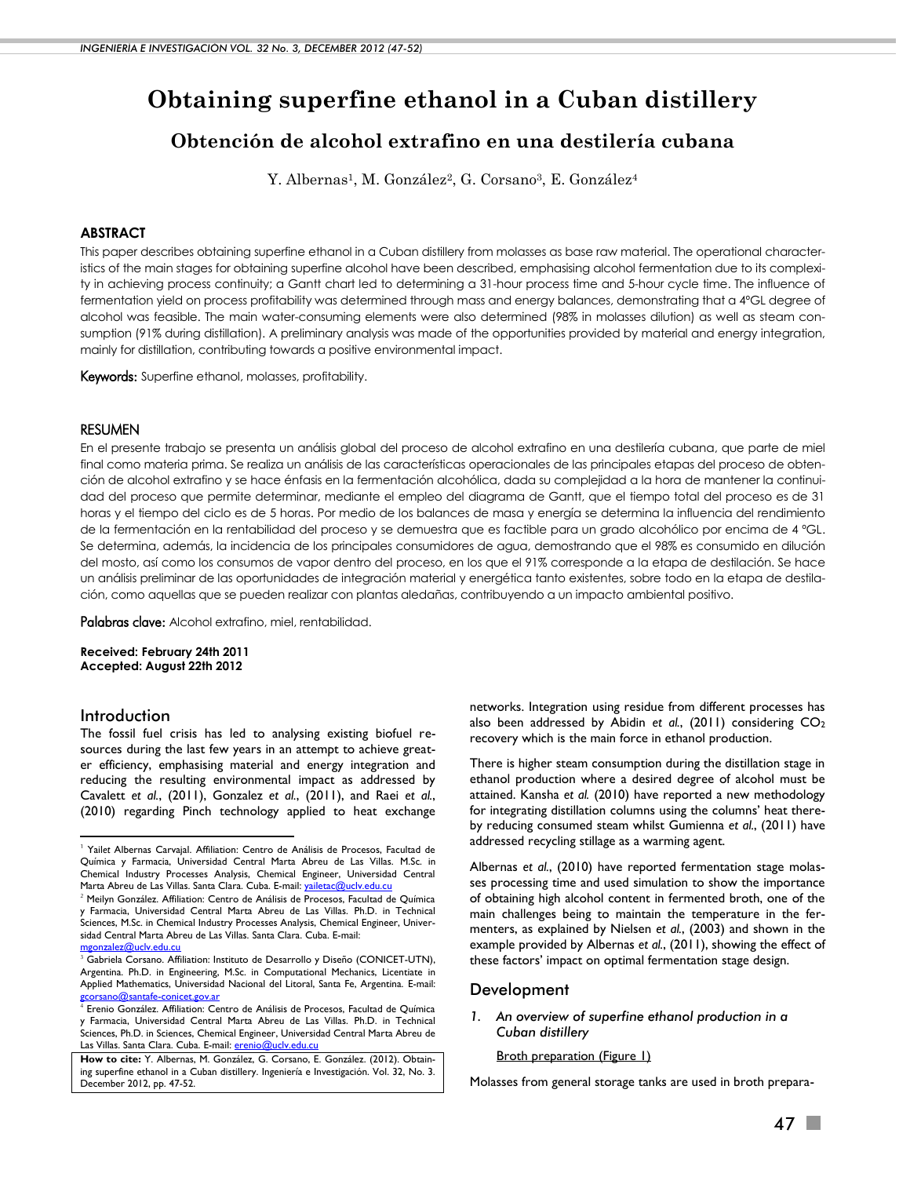# **Obtaining superfine ethanol in a Cuban distillery**

# **Obtención de alcohol extrafino en una destilería cubana**

Y. Albernas<sup>1</sup>, M. González<sup>2</sup>, G. Corsano<sup>3</sup>, E. González<sup>4</sup>

# **ABSTRACT**

This paper describes obtaining superfine ethanol in a Cuban distillery from molasses as base raw material. The operational characteristics of the main stages for obtaining superfine alcohol have been described, emphasising alcohol fermentation due to its complexity in achieving process continuity; a Gantt chart led to determining a 31-hour process time and 5-hour cycle time. The influence of fermentation yield on process profitability was determined through mass and energy balances, demonstrating that a 4ºGL degree of alcohol was feasible. The main water-consuming elements were also determined (98% in molasses dilution) as well as steam consumption (91% during distillation). A preliminary analysis was made of the opportunities provided by material and energy integration, mainly for distillation, contributing towards a positive environmental impact.

Kewords: Superfine ethanol, molasses, profitability.

## RESUMEN

En el presente trabajo se presenta un análisis global del proceso de alcohol extrafino en una destilería cubana, que parte de miel final como materia prima. Se realiza un análisis de las características operacionales de las principales etapas del proceso de obtención de alcohol extrafino y se hace énfasis en la fermentación alcohólica, dada su complejidad a la hora de mantener la continuidad del proceso que permite determinar, mediante el empleo del diagrama de Gantt, que el tiempo total del proceso es de 31 horas y el tiempo del ciclo es de 5 horas. Por medio de los balances de masa y energía se determina la influencia del rendimiento de la fermentación en la rentabilidad del proceso y se demuestra que es factible para un grado alcohólico por encima de 4 ºGL. Se determina, además, la incidencia de los principales consumidores de agua, demostrando que el 98% es consumido en dilución del mosto, así como los consumos de vapor dentro del proceso, en los que el 91% corresponde a la etapa de destilación. Se hace un análisis preliminar de las oportunidades de integración material y energética tanto existentes, sobre todo en la etapa de destilación, como aquellas que se pueden realizar con plantas aledañas, contribuyendo a un impacto ambiental positivo.

Palabras clave: Alcohol extrafino, miel, rentabilidad.

**Received: February 24th 2011 Accepted: August 22th 2012**

# Introduction

-

The fossil fuel crisis has led to analysing existing biofuel resources during the last few years in an attempt to achieve greater efficiency, emphasising material and energy integration and reducing the resulting environmental impact as addressed by Cavalett *et al.*, (2011), Gonzalez *et al.*, (2011), and Raei *et al.*, (2010) regarding Pinch technology applied to heat exchange

networks. Integration using residue from different processes has also been addressed by Abidin *et al.*, (2011) considering CO<sup>2</sup> recovery which is the main force in ethanol production.

There is higher steam consumption during the distillation stage in ethanol production where a desired degree of alcohol must be attained. Kansha *et al.* (2010) have reported a new methodology for integrating distillation columns using the columns' heat thereby reducing consumed steam whilst Gumienna *et al.*, (2011) have addressed recycling stillage as a warming agent.

Albernas *et al.*, (2010) have reported fermentation stage molasses processing time and used simulation to show the importance of obtaining high alcohol content in fermented broth, one of the main challenges being to maintain the temperature in the fermenters, as explained by Nielsen *et al.*, (2003) and shown in the example provided by Albernas *et al.*, (2011), showing the effect of these factors' impact on optimal fermentation stage design.

### Development

#### *1. An overview of superfine ethanol production in a Cuban distillery*

**Broth preparation (Figure 1)** 

Molasses from general storage tanks are used in broth prepara-

<sup>1</sup> Yail*et* Albernas Carvajal. Affiliation: Centro de Análisis de Procesos, Facultad de Química y Farmacia, Universidad Central Marta Abreu de Las Villas. M.Sc. in Chemical Industry Processes Analysis, Chemical Engineer, Universidad Central Marta Abreu de Las Villas. Santa Clara. Cuba. E-mail: yailetac@uclv.edu.

<sup>&</sup>lt;sup>2</sup> Meilyn González. Affiliation: Centro de Análisis de Procesos, Facultad de Química y Farmacia, Universidad Central Marta Abreu de Las Villas. Ph.D. in Technical Sciences, M.Sc. in Chemical Industry Processes Analysis, Chemical Engineer, Universidad Central Marta Abreu de Las Villas. Santa Clara. Cuba. E-mail:  $mz$ alez@uclv.edu.cu

<sup>&</sup>lt;sup>3</sup> Gabriela Corsano. Affiliation: Instituto de Desarrollo y Diseño (CONICET-UTN), Argentina. Ph.D. in Engineering, M.Sc. in Computational Mechanics, Licentiate in Applied Mathematics, Universidad Nacional del Litoral, Santa Fe, Argentina. E-mail: [gcorsano@santafe-conicet.gov.ar](mailto:gcorsano@santafe-conicet.gov.ar)

<sup>4</sup> Erenio González. Affiliation: Centro de Análisis de Procesos, Facultad de Química y Farmacia, Universidad Central Marta Abreu de Las Villas. Ph.D. in Technical Sciences, Ph.D. in Sciences, Chemical Engineer, Universidad Central Marta Abreu de Las Villas. Santa Clara. Cuba. E-mail: [erenio@uclv.edu.cu](mailto:erenio@uclv.edu.cu)

**How to cite:** Y. Albernas, M. González, G. Corsano, E. González. (2012). Obtaining superfine ethanol in a Cuban distillery. Ingeniería e Investigación. Vol. 32, No. 3. December 2012, pp. 47-52.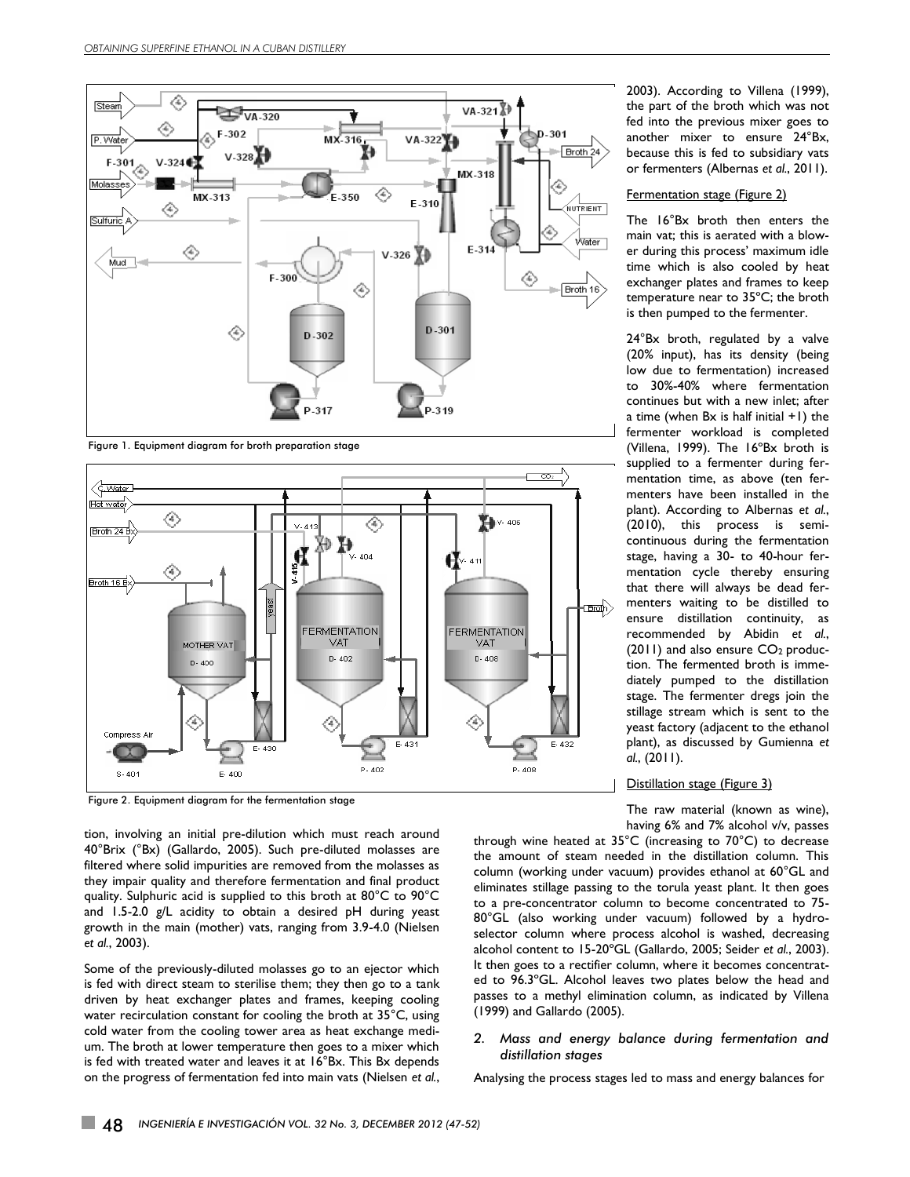

Figure 1. Equipment diagram for broth preparation stage



Figure 2. Equipment diagram for the fermentation stage

tion, involving an initial pre-dilution which must reach around 40°Brix (°Bx) (Gallardo, 2005). Such pre-diluted molasses are filtered where solid impurities are removed from the molasses as they impair quality and therefore fermentation and final product quality. Sulphuric acid is supplied to this broth at 80°C to 90°C and 1.5-2.0 g/L acidity to obtain a desired pH during yeast growth in the main (mother) vats, ranging from 3.9-4.0 (Nielsen *et al.*, 2003).

Some of the previously-diluted molasses go to an ejector which is fed with direct steam to sterilise them; they then go to a tank driven by heat exchanger plates and frames, keeping cooling water recirculation constant for cooling the broth at 35°C, using cold water from the cooling tower area as heat exchange medium. The broth at lower temperature then goes to a mixer which is fed with treated water and leaves it at 16°Bx. This Bx depends on the progress of fermentation fed into main vats (Nielsen *et al.*,

2003). According to Villena (1999), the part of the broth which was not fed into the previous mixer goes to another mixer to ensure 24°Bx, because this is fed to subsidiary vats or fermenters (Albernas *et al.*, 2011).

#### **Fermentation stage (Figure 2)**

The 16°Bx broth then enters the main vat; this is aerated with a blower during this process' maximum idle time which is also cooled by heat exchanger plates and frames to keep temperature near to 35ºC; the broth is then pumped to the fermenter.

24°Bx broth, regulated by a valve (20% input), has its density (being low due to fermentation) increased to 30%-40% where fermentation continues but with a new inlet; after a time (when Bx is half initial +1) the fermenter workload is completed (Villena, 1999). The 16ºBx broth is supplied to a fermenter during fermentation time, as above (ten fermenters have been installed in the plant). According to Albernas *et al.*, (2010), this process is semicontinuous during the fermentation stage, having a 30- to 40-hour fermentation cycle thereby ensuring that there will always be dead fermenters waiting to be distilled to ensure distillation continuity, as recommended by Abidin *et al.*, (2011) and also ensure CO2 production. The fermented broth is immediately pumped to the distillation stage. The fermenter dregs join the stillage stream which is sent to the yeast factory (adjacent to the ethanol plant), as discussed by Gumienna *et al.*, (2011).

#### Distillation stage (Figure 3)

The raw material (known as wine), having 6% and 7% alcohol v/v, passes

through wine heated at 35°C (increasing to 70°C) to decrease the amount of steam needed in the distillation column. This column (working under vacuum) provides ethanol at 60°GL and eliminates stillage passing to the torula yeast plant. It then goes to a pre-concentrator column to become concentrated to 75- 80°GL (also working under vacuum) followed by a hydroselector column where process alcohol is washed, decreasing alcohol content to 15-20ºGL (Gallardo, 2005; Seider *et al.*, 2003). It then goes to a rectifier column, where it becomes concentrated to 96.3ºGL. Alcohol leaves two plates below the head and passes to a methyl elimination column, as indicated by Villena (1999) and Gallardo (2005).

#### *2. Mass and energy balance during fermentation and distillation stages*

Analysing the process stages led to mass and energy balances for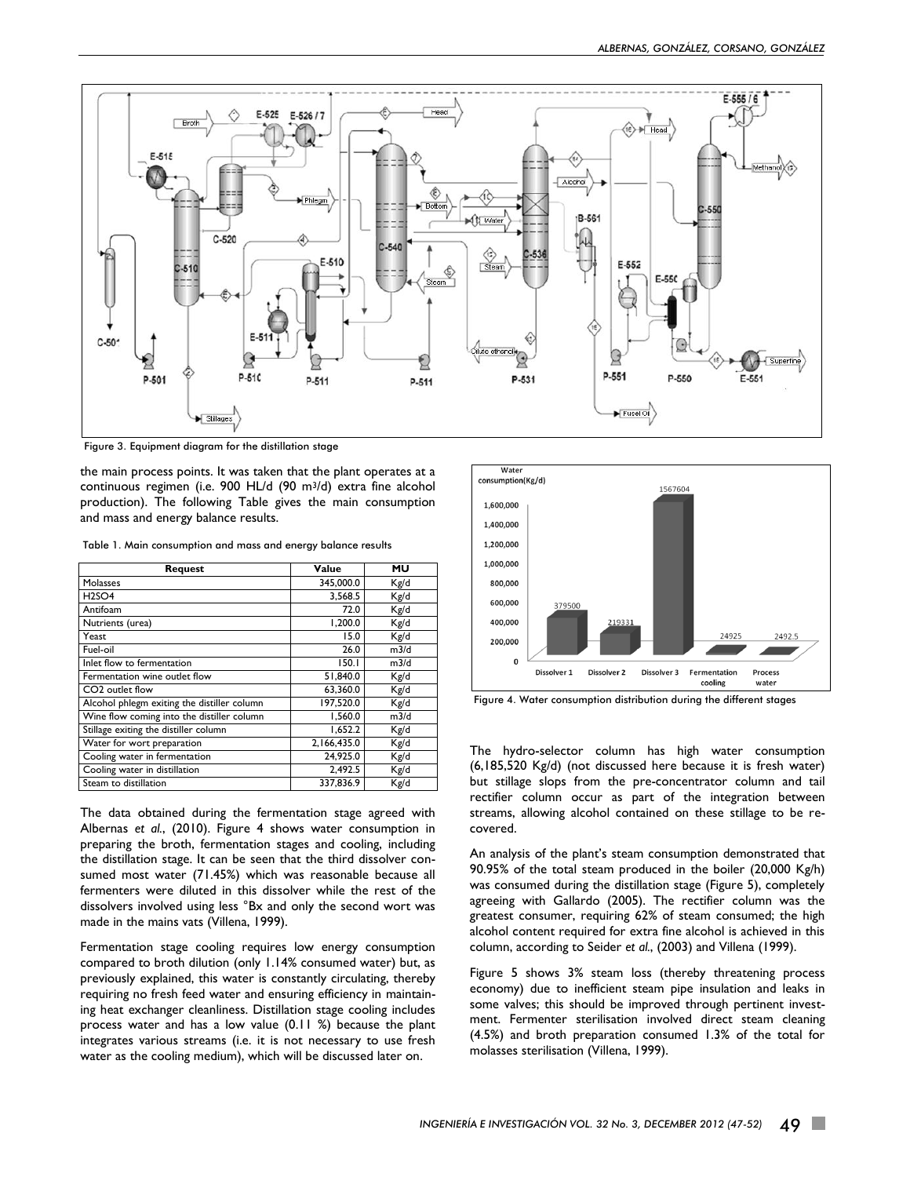

Figure 3. Equipment diagram for the distillation stage

the main process points. It was taken that the plant operates at a continuous regimen (i.e. 900 HL/d (90 m3/d) extra fine alcohol production). The following Table gives the main consumption and mass and energy balance results.

Table 1. Main consumption and mass and energy balance results

| <b>Request</b>                              | Value       | MU   |
|---------------------------------------------|-------------|------|
| Molasses                                    | 345,000.0   | Kg/d |
| H <sub>2</sub> SO <sub>4</sub>              | 3,568.5     | Kg/d |
| Antifoam                                    | 72.0        | Kg/d |
| Nutrients (urea)                            | 1.200.0     | Kg/d |
| Yeast                                       | 15.0        | Kg/d |
| Fuel-oil                                    | 26.0        | m3/d |
| Inlet flow to fermentation                  | 150.1       | m3/d |
| Fermentation wine outlet flow               | 51,840.0    | Kg/d |
| CO <sub>2</sub> outlet flow                 | 63,360.0    | Kg/d |
| Alcohol phlegm exiting the distiller column | 197.520.0   | Kg/d |
| Wine flow coming into the distiller column  | 1.560.0     | m3/d |
| Stillage exiting the distiller column       | 1,652.2     | Kg/d |
| Water for wort preparation                  | 2,166,435.0 | Kg/d |
| Cooling water in fermentation               | 24.925.0    | Kg/d |
| Cooling water in distillation               | 2.492.5     | Kg/d |
| Steam to distillation                       | 337,836.9   | Kg/d |

The data obtained during the fermentation stage agreed with Albernas *et al.*, (2010). Figure 4 shows water consumption in preparing the broth, fermentation stages and cooling, including the distillation stage. It can be seen that the third dissolver consumed most water (71.45%) which was reasonable because all fermenters were diluted in this dissolver while the rest of the dissolvers involved using less °Bx and only the second wort was made in the mains vats (Villena, 1999).

Fermentation stage cooling requires low energy consumption compared to broth dilution (only 1.14% consumed water) but, as previously explained, this water is constantly circulating, thereby requiring no fresh feed water and ensuring efficiency in maintaining heat exchanger cleanliness. Distillation stage cooling includes process water and has a low value (0.11 %) because the plant integrates various streams (i.e. it is not necessary to use fresh water as the cooling medium), which will be discussed later on.



Figure 4. Water consumption distribution during the different stages

The hydro-selector column has high water consumption (6,185,520 Kg/d) (not discussed here because it is fresh water) but stillage slops from the pre-concentrator column and tail rectifier column occur as part of the integration between streams, allowing alcohol contained on these stillage to be recovered.

An analysis of the plant's steam consumption demonstrated that 90.95% of the total steam produced in the boiler (20,000 Kg/h) was consumed during the distillation stage (Figure 5), completely agreeing with Gallardo (2005). The rectifier column was the greatest consumer, requiring 62% of steam consumed; the high alcohol content required for extra fine alcohol is achieved in this column, according to Seider *et al.*, (2003) and Villena (1999).

Figure 5 shows 3% steam loss (thereby threatening process economy) due to inefficient steam pipe insulation and leaks in some valves; this should be improved through pertinent investment. Fermenter sterilisation involved direct steam cleaning (4.5%) and broth preparation consumed 1.3% of the total for molasses sterilisation (Villena, 1999).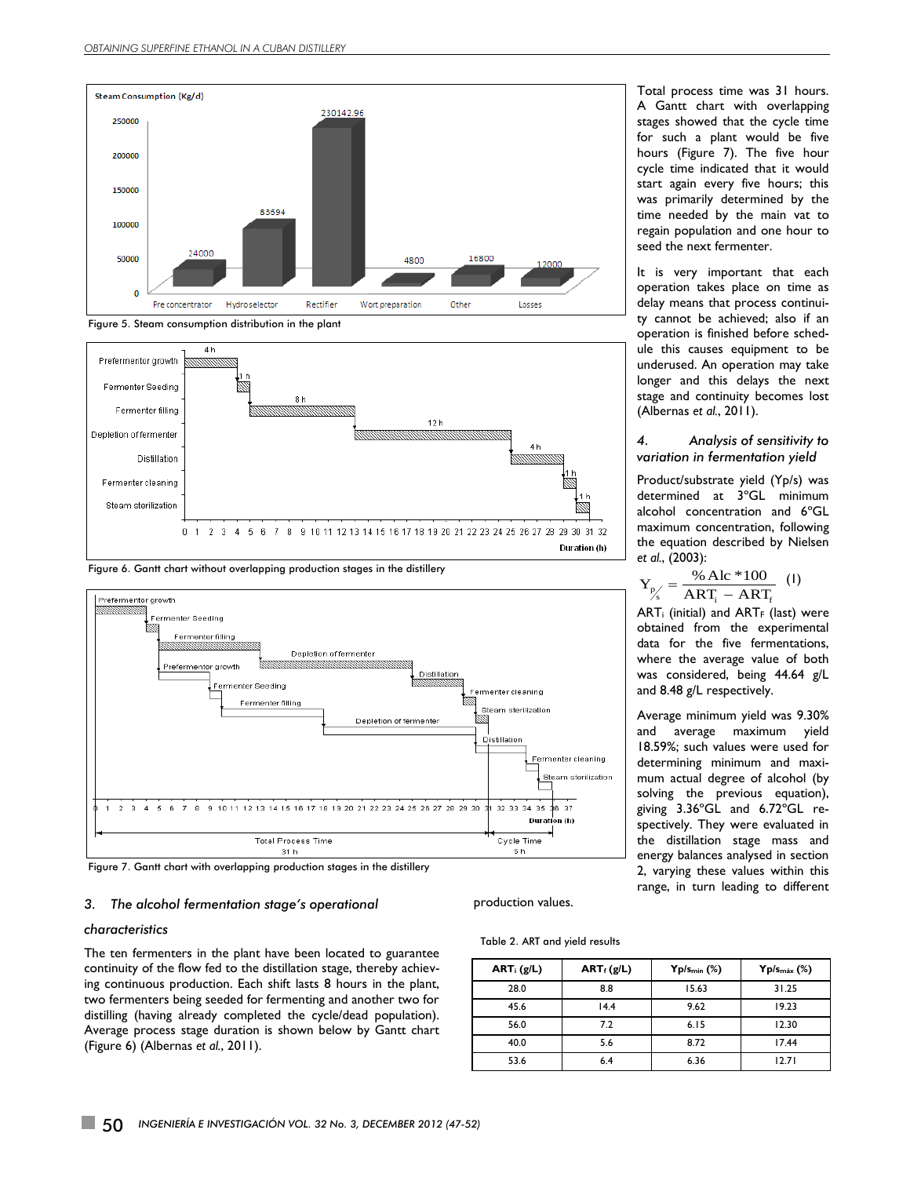



Figure 6. Gantt chart without overlapping production stages in the distillery



Figure 7. Gantt chart with overlapping production stages in the distillery

#### *3. The alcohol fermentation stage's operational*

#### *characteristics*

The ten fermenters in the plant have been located to guarantee continuity of the flow fed to the distillation stage, thereby achieving continuous production. Each shift lasts 8 hours in the plant, two fermenters being seeded for fermenting and another two for distilling (having already completed the cycle/dead population). Average process stage duration is shown below by Gantt chart (Figure 6) (Albernas *et al.*, 2011).

# production values.

#### Table 2. ART and yield results

| $ART_i(g/L)$ | $ART_f(g/L)$ | $Yp/s_{min}$ (%) | $Yp/s_{max}$ (%) |
|--------------|--------------|------------------|------------------|
| 28.0         | 8.8          | 15.63            | 31.25            |
| 45.6         | 14.4         | 9.62             | 19.23            |
| 56.0         | 7.2          | 6.15             | 12.30            |
| 40.0         | 5.6          | 8.72             | 17.44            |
| 53.6         | 6.4          | 6.36             | 12.71            |

Total process time was 31 hours. A Gantt chart with overlapping stages showed that the cycle time for such a plant would be five hours (Figure 7). The five hour cycle time indicated that it would start again every five hours; this was primarily determined by the time needed by the main vat to regain population and one hour to seed the next fermenter.

It is very important that each operation takes place on time as delay means that process continuity cannot be achieved; also if an operation is finished before schedule this causes equipment to be underused. An operation may take longer and this delays the next stage and continuity becomes lost (Albernas *et al.*, 2011).

#### *4. Analysis of sensitivity to variation in fermentation yield*

Product/substrate yield (Yp/s) was determined at 3ºGL minimum alcohol concentration and 6ºGL maximum concentration, following the equation described by Nielsen *et al.*, (2003):

$$
Y_{p'_{s}} = \frac{\% \text{ Alc} * 100}{\text{ART}_{i} - \text{ART}_{f}} \quad (1)
$$

 $ART<sub>i</sub>$  (initial) and  $ART<sub>F</sub>$  (last) were obtained from the experimental data for the five fermentations, where the average value of both was considered, being 44.64 g/L and 8.48 g/L respectively.

Average minimum yield was 9.30% and average maximum yield 18.59%; such values were used for determining minimum and maximum actual degree of alcohol (by solving the previous equation), giving 3.36ºGL and 6.72ºGL respectively. They were evaluated in the distillation stage mass and energy balances analysed in section 2, varying these values within this range, in turn leading to different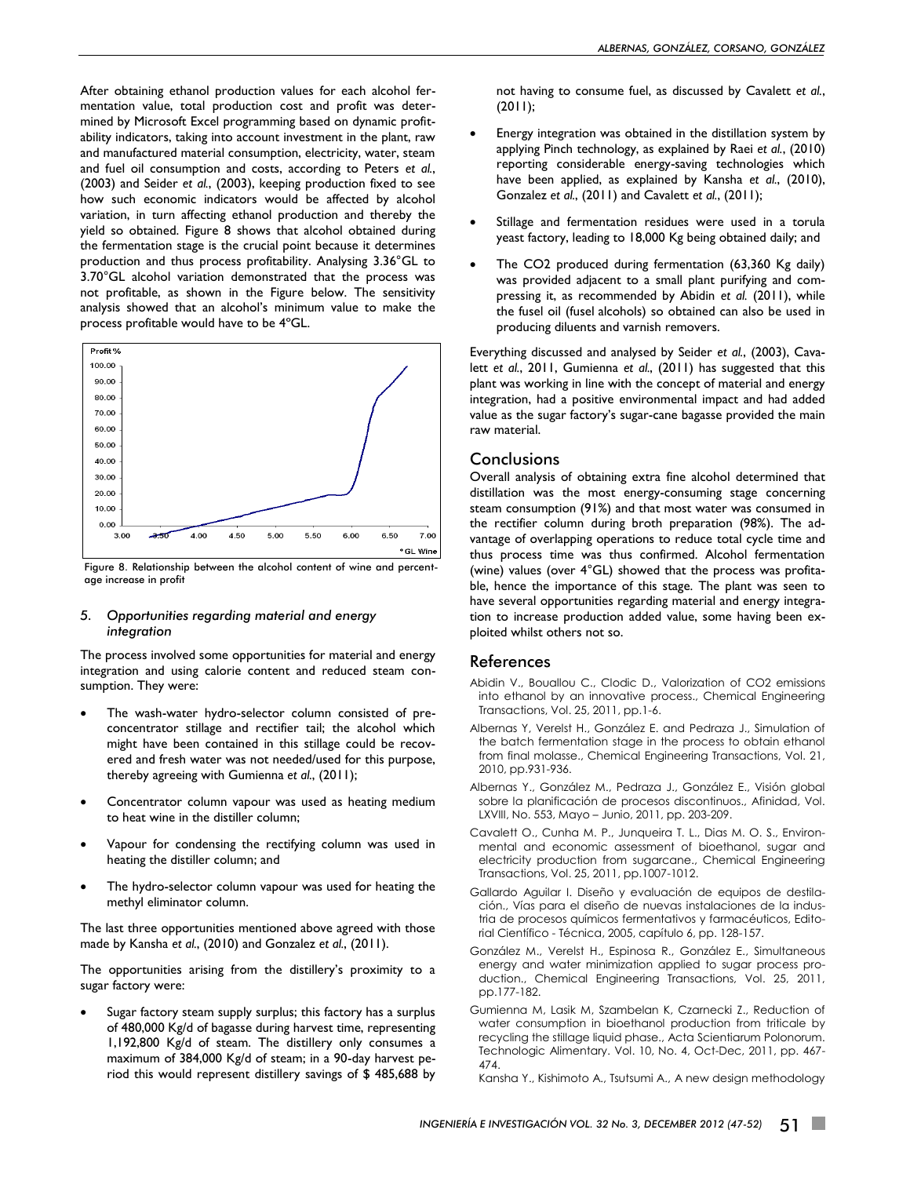After obtaining ethanol production values for each alcohol fermentation value, total production cost and profit was determined by Microsoft Excel programming based on dynamic profitability indicators, taking into account investment in the plant, raw and manufactured material consumption, electricity, water, steam and fuel oil consumption and costs, according to Peters *et al.*, (2003) and Seider *et al.*, (2003), keeping production fixed to see how such economic indicators would be affected by alcohol variation, in turn affecting ethanol production and thereby the yield so obtained. Figure 8 shows that alcohol obtained during the fermentation stage is the crucial point because it determines production and thus process profitability. Analysing 3.36°GL to 3.70°GL alcohol variation demonstrated that the process was not profitable, as shown in the Figure below. The sensitivity analysis showed that an alcohol's minimum value to make the process profitable would have to be 4ºGL.



Figure 8. Relationship between the alcohol content of wine and percentage increase in profit

#### *5. Opportunities regarding material and energy integration*

The process involved some opportunities for material and energy integration and using calorie content and reduced steam consumption. They were:

- The wash-water hydro-selector column consisted of preconcentrator stillage and rectifier tail; the alcohol which might have been contained in this stillage could be recovered and fresh water was not needed/used for this purpose, thereby agreeing with Gumienna *et al.*, (2011);
- Concentrator column vapour was used as heating medium to heat wine in the distiller column;
- Vapour for condensing the rectifying column was used in heating the distiller column; and
- The hydro-selector column vapour was used for heating the methyl eliminator column.

The last three opportunities mentioned above agreed with those made by Kansha *et al.*, (2010) and Gonzalez *et al.*, (2011).

The opportunities arising from the distillery's proximity to a sugar factory were:

 Sugar factory steam supply surplus; this factory has a surplus of 480,000 Kg/d of bagasse during harvest time, representing 1,192,800 Kg/d of steam. The distillery only consumes a maximum of 384,000 Kg/d of steam; in a 90-day harvest period this would represent distillery savings of \$ 485,688 by not having to consume fuel, as discussed by Cavalett *et al.*, (2011);

- Energy integration was obtained in the distillation system by applying Pinch technology, as explained by Raei *et al.*, (2010) reporting considerable energy-saving technologies which have been applied, as explained by Kansha *et al.*, (2010), Gonzalez *et al.*, (2011) and Cavalett *et al.*, (2011);
- Stillage and fermentation residues were used in a torula yeast factory, leading to 18,000 Kg being obtained daily; and
- The CO2 produced during fermentation (63,360 Kg daily) was provided adjacent to a small plant purifying and compressing it, as recommended by Abidin *et al.* (2011), while the fusel oil (fusel alcohols) so obtained can also be used in producing diluents and varnish removers.

Everything discussed and analysed by Seider *et al.*, (2003), Cavalett *et al.*, 2011, Gumienna *et al.*, (2011) has suggested that this plant was working in line with the concept of material and energy integration, had a positive environmental impact and had added value as the sugar factory's sugar-cane bagasse provided the main raw material.

# **Conclusions**

Overall analysis of obtaining extra fine alcohol determined that distillation was the most energy-consuming stage concerning steam consumption (91%) and that most water was consumed in the rectifier column during broth preparation (98%). The advantage of overlapping operations to reduce total cycle time and thus process time was thus confirmed. Alcohol fermentation (wine) values (over 4°GL) showed that the process was profitable, hence the importance of this stage. The plant was seen to have several opportunities regarding material and energy integration to increase production added value, some having been exploited whilst others not so.

# References

- Abidin V., Bouallou C., Clodic D., Valorization of CO2 emissions into ethanol by an innovative process., Chemical Engineering Transactions, Vol. 25, 2011, pp.1-6.
- Albernas Y, Verelst H., González E. and Pedraza J., Simulation of the batch fermentation stage in the process to obtain ethanol from final molasse., Chemical Engineering Transactions, Vol. 21, 2010, pp.931-936.
- Albernas Y., González M., Pedraza J., González E., Visión global sobre la planificación de procesos discontinuos., Afinidad, Vol. LXVIII, No. 553, Mayo – Junio, 2011, pp. 203-209.
- Cavalett O., Cunha M. P., Junqueira T. L., Dias M. O. S., Environmental and economic assessment of bioethanol, sugar and electricity production from sugarcane., Chemical Engineering Transactions, Vol. 25, 2011, pp.1007-1012.
- Gallardo Aguilar I. Diseño y evaluación de equipos de destilación., Vías para el diseño de nuevas instalaciones de la industria de procesos químicos fermentativos y farmacéuticos, Editorial Científico - Técnica, 2005, capítulo 6, pp. 128-157.
- González M., Verelst H., Espinosa R., González E., Simultaneous energy and water minimization applied to sugar process production., Chemical Engineering Transactions, Vol. 25, 2011, pp.177-182.
- Gumienna M, Lasik M, Szambelan K, Czarnecki Z., Reduction of water consumption in bioethanol production from triticale by recycling the stillage liquid phase., Acta Scientiarum Polonorum. Technologic Alimentary. Vol. 10, No. 4, Oct-Dec, 2011, pp. 467- 474.

Kansha Y., Kishimoto A., Tsutsumi A., A new design methodology